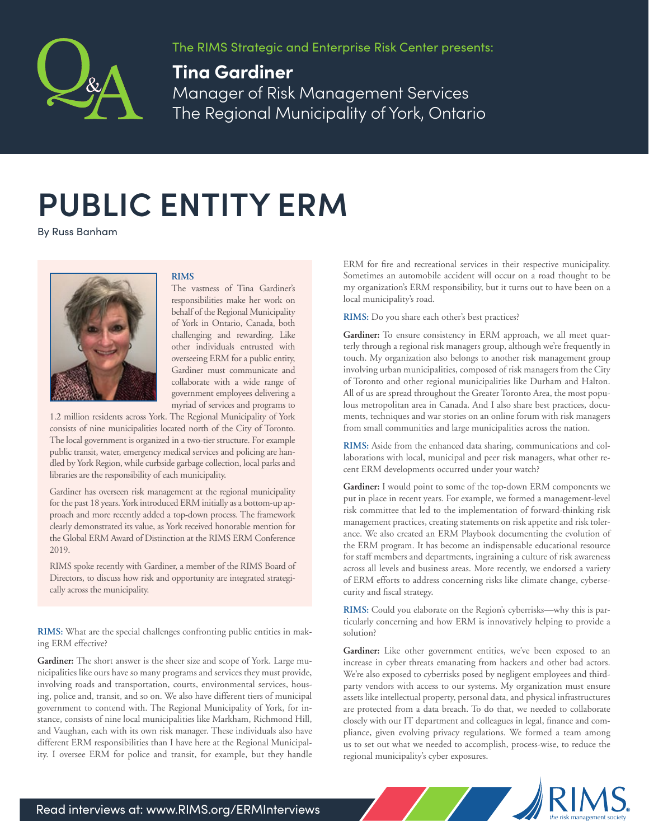

The RIMS Strategic and Enterprise Risk Center presents:

## **Tina Gardiner**

Manager of Risk Management Services The Regional Municipality of York, Ontario

## **PUBLIC ENTITY ERM**

By Russ Banham



## **RIMS**

The vastness of Tina Gardiner's responsibilities make her work on behalf of the Regional Municipality of York in Ontario, Canada, both challenging and rewarding. Like other individuals entrusted with overseeing ERM for a public entity, Gardiner must communicate and collaborate with a wide range of government employees delivering a myriad of services and programs to

1.2 million residents across York. The Regional Municipality of York consists of nine municipalities located north of the City of Toronto. The local government is organized in a two-tier structure. For example public transit, water, emergency medical services and policing are handled by York Region, while curbside garbage collection, local parks and libraries are the responsibility of each municipality.

Gardiner has overseen risk management at the regional municipality for the past 18 years. York introduced ERM initially as a bottom-up approach and more recently added a top-down process. The framework clearly demonstrated its value, as York received honorable mention for the Global ERM Award of Distinction at the RIMS ERM Conference 2019.

RIMS spoke recently with Gardiner, a member of the RIMS Board of Directors, to discuss how risk and opportunity are integrated strategically across the municipality.

**RIMS:** What are the special challenges confronting public entities in making ERM effective?

Gardiner: The short answer is the sheer size and scope of York. Large municipalities like ours have so many programs and services they must provide, involving roads and transportation, courts, environmental services, housing, police and, transit, and so on. We also have different tiers of municipal government to contend with. The Regional Municipality of York, for instance, consists of nine local municipalities like Markham, Richmond Hill, and Vaughan, each with its own risk manager. These individuals also have different ERM responsibilities than I have here at the Regional Municipality. I oversee ERM for police and transit, for example, but they handle ERM for fire and recreational services in their respective municipality. Sometimes an automobile accident will occur on a road thought to be my organization's ERM responsibility, but it turns out to have been on a local municipality's road.

**RIMS:** Do you share each other's best practices?

**Gardiner:** To ensure consistency in ERM approach, we all meet quarterly through a regional risk managers group, although we're frequently in touch. My organization also belongs to another risk management group involving urban municipalities, composed of risk managers from the City of Toronto and other regional municipalities like Durham and Halton. All of us are spread throughout the Greater Toronto Area, the most populous metropolitan area in Canada. And I also share best practices, documents, techniques and war stories on an online forum with risk managers from small communities and large municipalities across the nation.

**RIMS:** Aside from the enhanced data sharing, communications and collaborations with local, municipal and peer risk managers, what other recent ERM developments occurred under your watch?

**Gardiner:** I would point to some of the top-down ERM components we put in place in recent years. For example, we formed a management-level risk committee that led to the implementation of forward-thinking risk management practices, creating statements on risk appetite and risk tolerance. We also created an ERM Playbook documenting the evolution of the ERM program. It has become an indispensable educational resource for staff members and departments, ingraining a culture of risk awareness across all levels and business areas. More recently, we endorsed a variety of ERM efforts to address concerning risks like climate change, cybersecurity and fiscal strategy.

**RIMS:** Could you elaborate on the Region's cyberrisks—why this is particularly concerning and how ERM is innovatively helping to provide a solution?

Gardiner: Like other government entities, we've been exposed to an increase in cyber threats emanating from hackers and other bad actors. We're also exposed to cyberrisks posed by negligent employees and thirdparty vendors with access to our systems. My organization must ensure assets like intellectual property, personal data, and physical infrastructures are protected from a data breach. To do that, we needed to collaborate closely with our IT department and colleagues in legal, finance and compliance, given evolving privacy regulations. We formed a team among us to set out what we needed to accomplish, process-wise, to reduce the regional municipality's cyber exposures.

State of the Sea